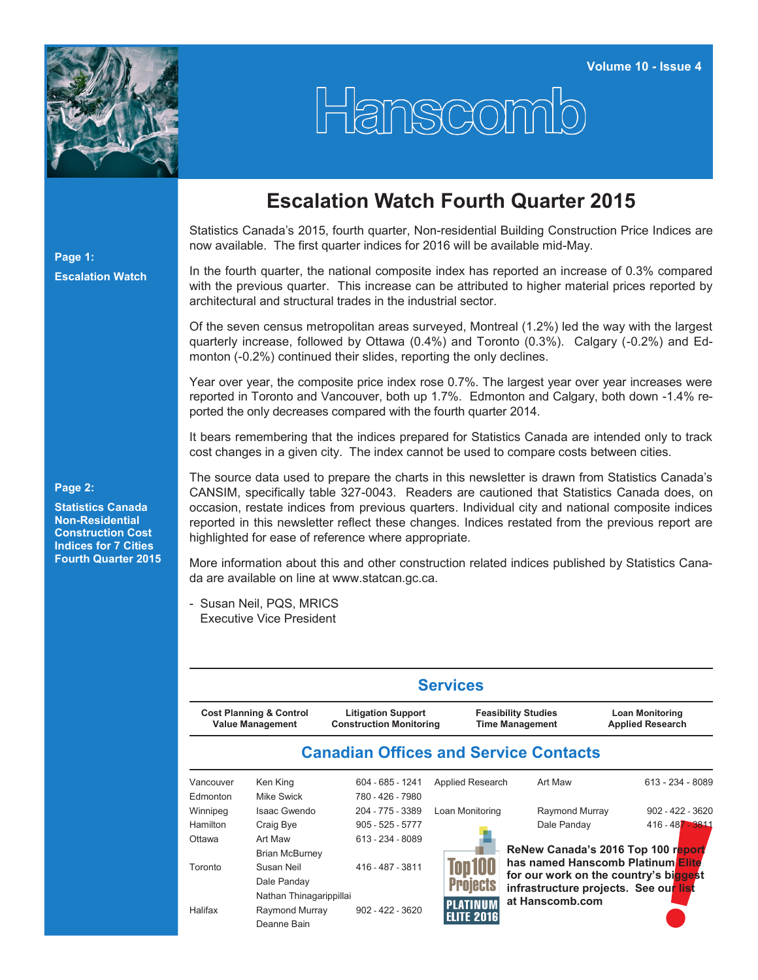

## Hanscomb

## **Escalation Watch Fourth Quarter 2015**

Statistics Canada's 2015, fourth quarter, Non-residential Building Construction Price Indices are now available. The first quarter indices for 2016 will be available mid-May.

In the fourth quarter, the national composite index has reported an increase of 0.3% compared with the previous quarter. This increase can be attributed to higher material prices reported by architectural and structural trades in the industrial sector.

Of the seven census metropolitan areas surveyed, Montreal (1.2%) led the way with the largest quarterly increase, followed by Ottawa (0.4%) and Toronto (0.3%). Calgary (-0.2%) and Edmonton (-0.2%) continued their slides, reporting the only declines.

Year over year, the composite price index rose 0.7%. The largest year over year increases were reported in Toronto and Vancouver, both up 1.7%. Edmonton and Calgary, both down -1.4% reported the only decreases compared with the fourth quarter 2014.

It bears remembering that the indices prepared for Statistics Canada are intended only to track cost changes in a given city. The index cannot be used to compare costs between cities.

**Page 2:**

**Page 1:**

**Escalation Watch**

**Statistics Canada Non-Residential Construction Cost Indices for 7 Cities Fourth Quarter 2015** The source data used to prepare the charts in this newsletter is drawn from Statistics Canada's CANSIM, specifically table 327-0043. Readers are cautioned that Statistics Canada does, on occasion, restate indices from previous quarters. Individual city and national composite indices reported in this newsletter reflect these changes. Indices restated from the previous report are highlighted for ease of reference where appropriate.

More information about this and other construction related indices published by Statistics Canada are available on line at [www.statcan.gc.ca.](http://www.statcan.gc.ca)

- Susan Neil, PQS, MRICS Executive Vice President

|                                                               |                                              |                                                             | <b>Services</b>   |                                                      |                                                   |  |  |  |  |  |  |  |
|---------------------------------------------------------------|----------------------------------------------|-------------------------------------------------------------|-------------------|------------------------------------------------------|---------------------------------------------------|--|--|--|--|--|--|--|
| <b>Cost Planning &amp; Control</b><br><b>Value Management</b> |                                              | <b>Litigation Support</b><br><b>Construction Monitoring</b> |                   | <b>Feasibility Studies</b><br><b>Time Management</b> | <b>Loan Monitoring</b><br><b>Applied Research</b> |  |  |  |  |  |  |  |
|                                                               | <b>Canadian Offices and Service Contacts</b> |                                                             |                   |                                                      |                                                   |  |  |  |  |  |  |  |
| Vancouver                                                     | Ken King                                     | 604 - 685 - 1241                                            | Applied Research  | Art Maw                                              | 613 - 234 - 8089                                  |  |  |  |  |  |  |  |
| Edmonton                                                      | Mike Swick                                   | 780 - 426 - 7980                                            |                   |                                                      |                                                   |  |  |  |  |  |  |  |
| Winnipeg                                                      | Isaac Gwendo                                 | 204 - 775 - 3389                                            | Loan Monitoring   | Raymond Murray                                       | $902 - 422 - 3620$                                |  |  |  |  |  |  |  |
| <b>Hamilton</b>                                               | Craig Bye                                    | $905 - 525 - 5777$                                          |                   | Dale Panday                                          | $416 - 487 - 3811$                                |  |  |  |  |  |  |  |
| Ottawa                                                        | Art Maw                                      | 613 - 234 - 8089                                            |                   |                                                      |                                                   |  |  |  |  |  |  |  |
|                                                               | <b>Brian McBurney</b>                        |                                                             |                   |                                                      | ReNew Canada's 2016 Top 100 report                |  |  |  |  |  |  |  |
| Toronto<br>Halifax                                            | Susan Neil                                   | 416 - 487 - 3811                                            | on Il             | has named Hanscomb Platinum Elite                    |                                                   |  |  |  |  |  |  |  |
|                                                               | Dale Panday                                  |                                                             | oiects            | infrastructure projects. See our list                | for our work on the country's biggest             |  |  |  |  |  |  |  |
|                                                               | Nathan Thinagarippillai                      |                                                             |                   | at Hanscomb.com                                      |                                                   |  |  |  |  |  |  |  |
|                                                               | Raymond Murray                               | $902 - 422 - 3620$                                          | <b>ELITE 2016</b> |                                                      |                                                   |  |  |  |  |  |  |  |
|                                                               | Deanne Bain                                  |                                                             |                   |                                                      |                                                   |  |  |  |  |  |  |  |